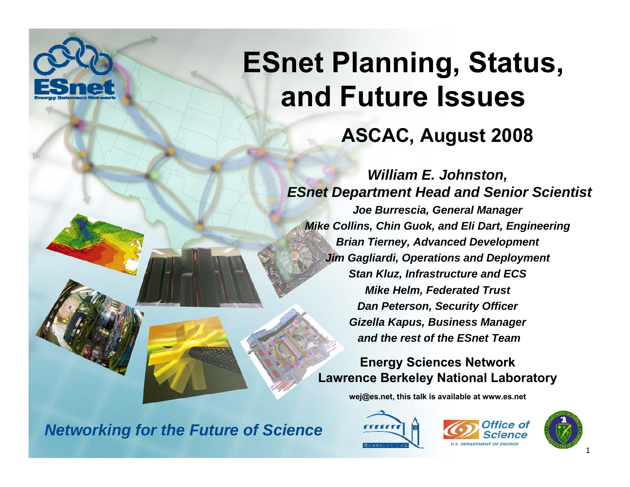

#### **ASCAC, August 2008**

*William E. Johnston, ESnet Department Head and Senior Scientist Joe Burrescia, General Manager Mike Collins, Chin Guok, and Eli Dart, Engineering Brian Tierney, Advanced Development Jim Gagliardi, Operations and Deployment Stan Kluz, Infrastructure and ECS Mike Helm, Federated Trust Dan Peterson, Security Officer Gizella Kapus, Business Manager and the rest of the ESnet Team*

**Energy Sciences Network Lawrence Berkeley National Laboratory**

**wej@es.net, this talk is available at www.es.net**

**CECEEC** 





*Networking for the Future of Science*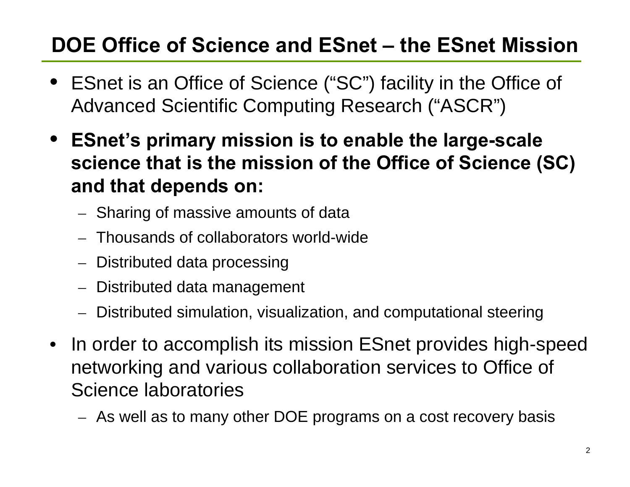## **DOE Office of Science and ESnet – the ESnet Mission**

- ESnet is an Office of Science ("SC") facility in the Office of Advanced Scientific Computing Research ("ASCR")
- **ESnet's primary mission is to enable the large-scale science that is the mission of the Office of Science (SC) and that depends on:**
	- – $-$  Sharing of massive amounts of data
	- Thousands of collaborators world-wide
	- –Distributed data processing
	- –Distributed data management
	- –Distributed simulation, visualization, and computational steering
- • In order to accomplish its mission ESnet provides high-speed networking and various collaboration services to Office of Science laboratories
	- – $-$  As well as to many other DOE programs on a cost recovery basis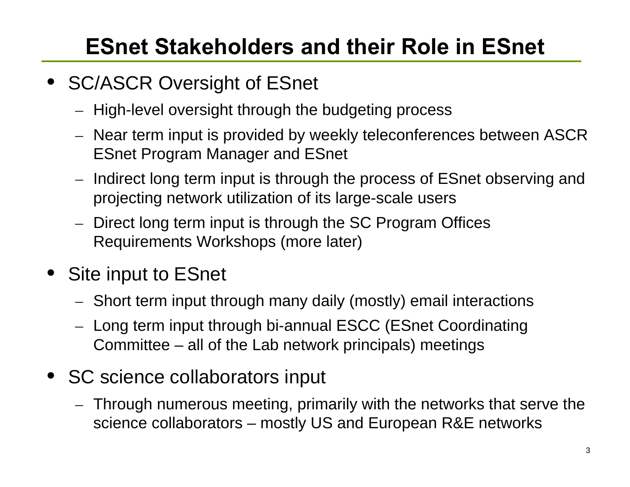# **ESnet Stakeholders and their Role in ESnet**

- SC/ASCR Oversight of ESnet
	- – $-$  High-level oversight through the budgeting process
	- – Near term input is provided by weekly teleconferences between ASCR ESnet Program Manager and ESnet
	- – $-$  Indirect long term input is through the process of ESnet observing and projecting network utilization of its large-scale users
	- – Direct long term input is through the SC Program Offices Requirements Workshops (more later)
- • Site input to ESnet
	- –Short term input through many daily (mostly) email interactions
	- – $-$  Long term input through bi-annual ESCC (ESnet Coordinating Committee – all of the Lab network principals) meetings
- SC science collaborators input
	- – Through numerous meeting, primarily with the networks that serve the science collaborators – mostly US and European R&E networks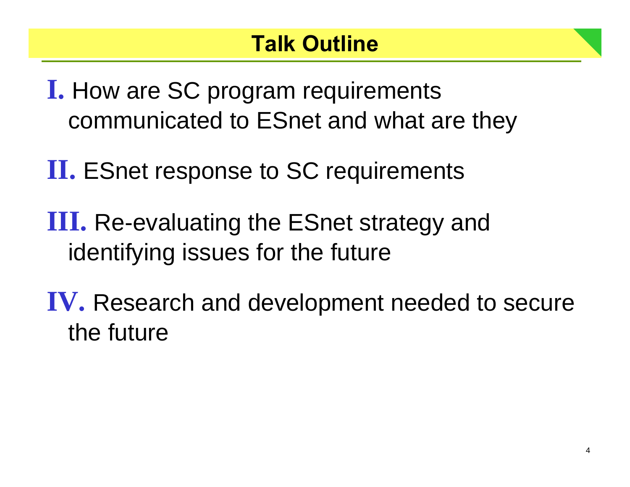**I.** How are SC program requirements communicated to ESnet and what are they

**II.** ESnet response to SC requirements

**III.** Re-evaluating the ESnet strategy and identifying issues for the future

**IV.** Research and development needed to secure the future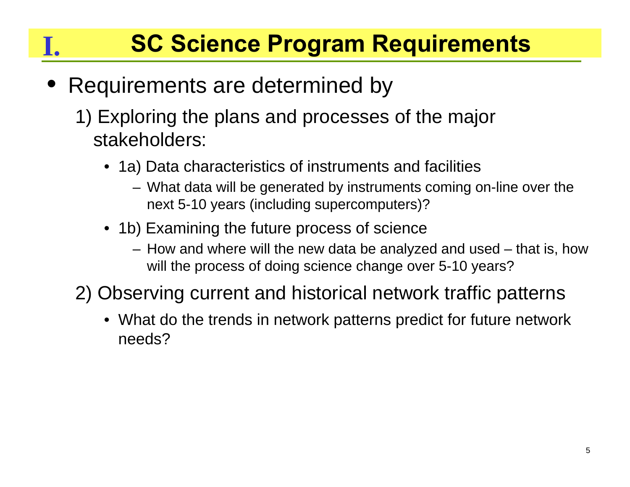# **SC Science Program Requirements**

#### $\bullet$ Requirements are determined by

**I.**

- 1) Exploring the plans and processes of the major stakeholders:
	- 1a) Data characteristics of instruments and facilities
		- What data will be generated by instruments coming on-line over the next 5-10 years (including supercomputers)?
	- 1b) Examining the future process of science
		- How and where will the new data be analyzed and used that is, how will the process of doing science change over 5-10 years?
- 2) Observing current and historical network traffic patterns
	- What do the trends in network patterns predict for future network needs?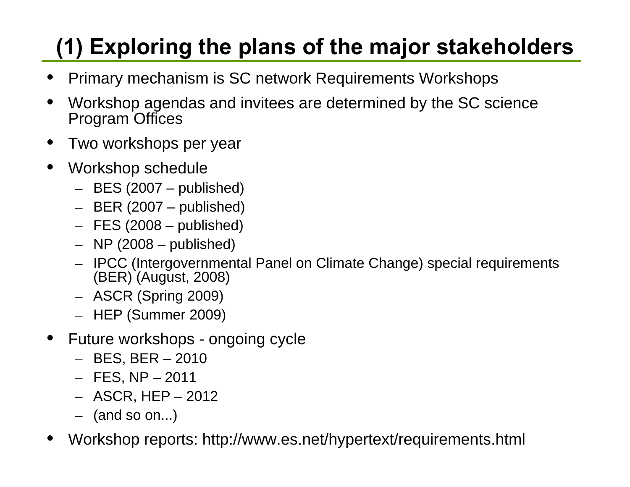# **(1) Exploring the plans of the major stakeholders**

- •Primary mechanism is SC network Requirements Workshops
- $\bullet$  Workshop agendas and invitees are determined by the SC science Program Offices
- •Two workshops per year
- $\bullet$  Workshop schedule
	- BES (2007 published)
	- BER (2007 published)
	- FES (2008 published)
	- NP (2008 published)
	- IPCC (Intergovernmental Panel on Climate Change) special requirements (BER) (August, 2008)
	- ASCR (Spring 2009)
	- HEP (Summer 2009)
- • Future workshops - ongoing cycle
	- BES, BER 2010
	- FES, NP 2011
	- ASCR, HEP 2012
	- (and so on...)
- •Workshop reports: http://www.es.net/hypertext/requirements.html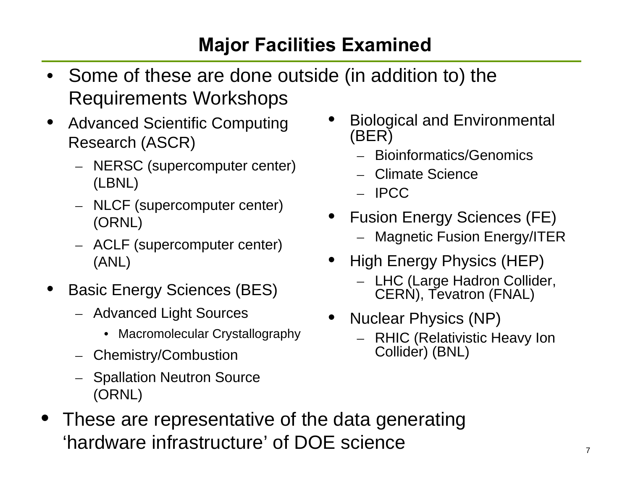### **Major Facilities Examined**

- Some of these are done outside (in addition to) the Requirements Workshops
- $\bullet$  Advanced Scientific Computing Research (ASCR)
	- NERSC (supercomputer center) (LBNL)
	- NLCF (supercomputer center) (ORNL)
	- ACLF (supercomputer center) (ANL)
- • Basic Energy Sciences (BES)
	- Advanced Light Sources
		- Macromolecular Crystallography
	- Chemistry/Combustion
	- Spallation Neutron Source (ORNL)
- • These are representative of the data generating 'hardware infrastructure' of DOE science
- • Biological and Environmental (BER)
	- Bioinformatics/Genomics
	- Climate Science
	- IPCC
- • Fusion Energy Sciences (FE) Magnetic Fusion Energy/ITER
- • High Energy Physics (HEP)
	- LHC (Large Hadron Collider, CERN), Tevatron (FNAL)
- • Nuclear Physics (NP)
	- RHIC (Relativistic Heavy Ion Collider) (BNL)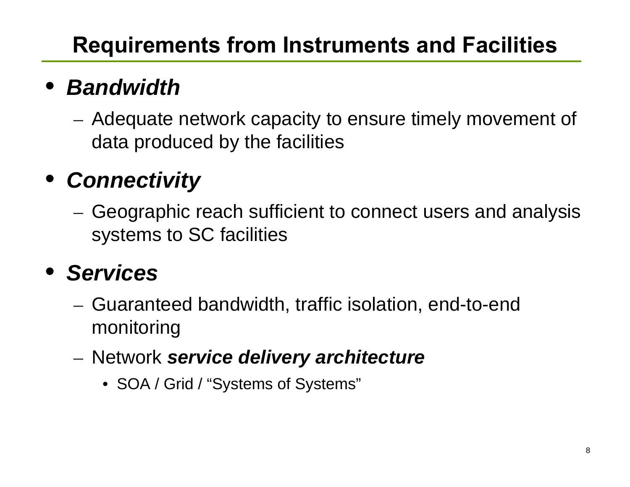# **Requirements from Instruments and Facilities**

# • *Bandwidth*

 Adequate network capacity to ensure timely movement of data produced by the facilities

# • *Connectivity*

 Geographic reach sufficient to connect users and analysis systems to SC facilities

## • *Services*

- Guaranteed bandwidth, traffic isolation, end-to-end monitoring
- Network *service delivery architecture*
	- SOA / Grid / "Systems of Systems"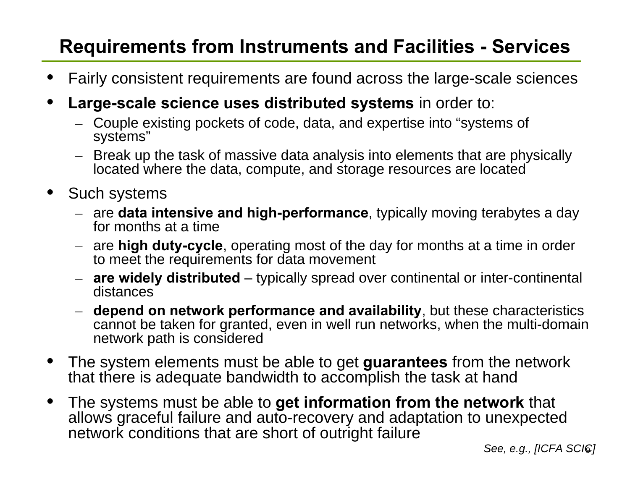#### **Requirements from Instruments and Facilities - Services**

- •Fairly consistent requirements are found across the large-scale sciences
- • **Large-scale science uses distributed systems** in order to:
	- Couple existing pockets of code, data, and expertise into "systems of systems"
	- Break up the task of massive data analysis into elements that are physically located where the data, compute, and storage resources are located
- • Such systems
	- are **data intensive and high-performance**, typically moving terabytes a day for months at a time
	- are **high duty-cycle**, operating most of the day for months at a time in order to meet the requirements for data movement
	- **are widely distributed** typically spread over continental or inter-continental distances
	- **depend on network performance and availability**, but these characteristics cannot be taken for granted, even in well run networks, when the multi-domain network path is considered
- • The system elements must be able to get **guarantees** from the network that there is adequate bandwidth to accomplish the task at hand
- $\bullet$  The systems must be able to **get information from the network** that allows graceful failure and auto-recovery and adaptation to unexpected network conditions that are short of outright failure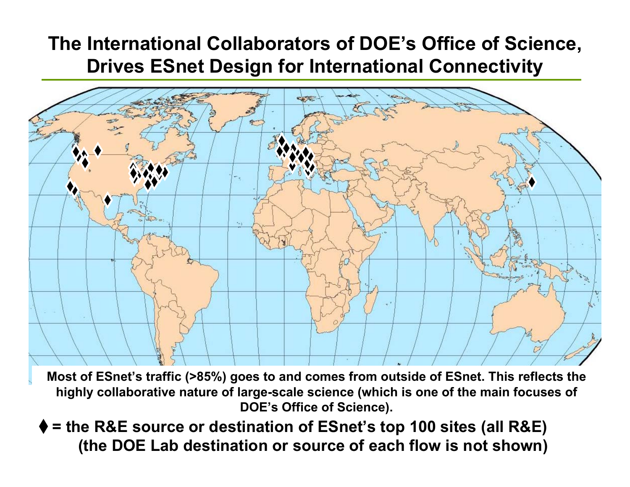#### **The International Collaborators of DOE's Office of Science, Drives ESnet Design for International Connectivity**



**Most of ESnet's traffic (>85%) goes to and comes from outside of ESnet. This reflects the highly collaborative nature of large-scale science (which is one of the main focuses of DOE's Office of Science).**

**= the R&E source or destination of ESnet's top 100 sites (all R&E) (the DOE Lab destination or source of each flow is not shown)**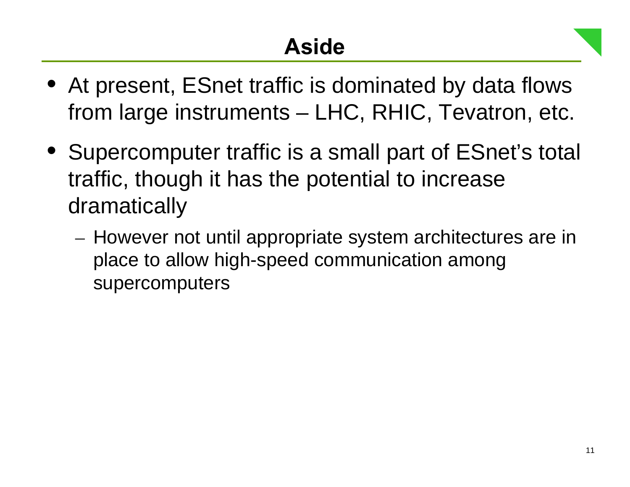- At present, ESnet traffic is dominated by data flows from large instruments – LHC, RHIC, Tevatron, etc.
- Supercomputer traffic is a small part of ESnet's total traffic, though it has the potential to increase dramatically
	- $-$  However not until appropriate system architectures are in place to allow high-speed communication among supercomputers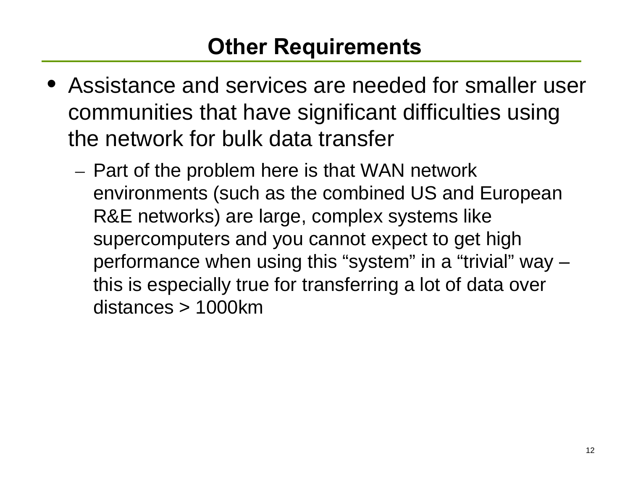- Assistance and services are needed for smaller user communities that have significant difficulties using the network for bulk data transfer
	- Part of the problem here is that WAN network environments (such as the combined US and European R&E networks) are large, complex systems like supercomputers and you cannot expect to get high performance when using this "system" in a "trivial" way – this is especially true for transferring a lot of data over distances > 1000km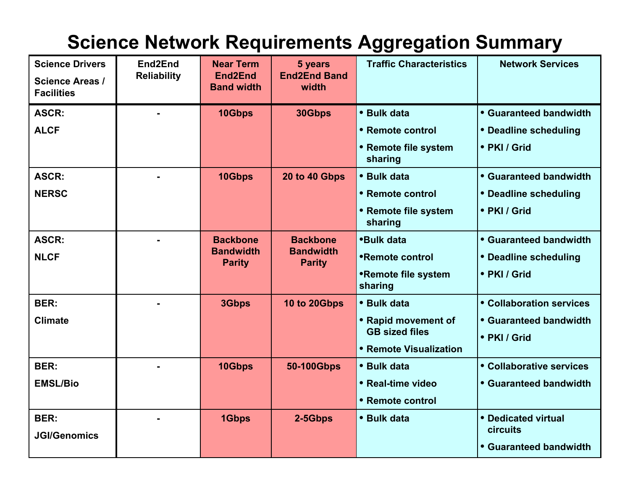#### **Science Network Requirements Aggregation Summary**

| <b>Science Drivers</b><br><b>Science Areas /</b><br><b>Facilities</b> | End2End<br><b>Reliability</b> | <b>Near Term</b><br>End <sub>2</sub> End<br><b>Band width</b> | 5 years<br><b>End2End Band</b><br>width              | <b>Traffic Characteristics</b>                                                        | <b>Network Services</b>                                            |
|-----------------------------------------------------------------------|-------------------------------|---------------------------------------------------------------|------------------------------------------------------|---------------------------------------------------------------------------------------|--------------------------------------------------------------------|
| <b>ASCR:</b><br><b>ALCF</b>                                           |                               | 10Gbps                                                        | 30Gbps                                               | • Bulk data<br>• Remote control<br>• Remote file system<br>sharing                    | • Guaranteed bandwidth<br>• Deadline scheduling<br>• PKI / Grid    |
| <b>ASCR:</b><br><b>NERSC</b>                                          |                               | 10Gbps                                                        | 20 to 40 Gbps                                        | • Bulk data<br>• Remote control<br>• Remote file system<br>sharing                    | • Guaranteed bandwidth<br>• Deadline scheduling<br>• PKI / Grid    |
| <b>ASCR:</b><br><b>NLCF</b>                                           |                               | <b>Backbone</b><br><b>Bandwidth</b><br><b>Parity</b>          | <b>Backbone</b><br><b>Bandwidth</b><br><b>Parity</b> | <b>*Bulk data</b><br>•Remote control<br>•Remote file system<br>sharing                | • Guaranteed bandwidth<br>• Deadline scheduling<br>• PKI / Grid    |
| <b>BER:</b><br><b>Climate</b>                                         |                               | 3Gbps                                                         | 10 to 20Gbps                                         | • Bulk data<br>• Rapid movement of<br><b>GB sized files</b><br>• Remote Visualization | • Collaboration services<br>• Guaranteed bandwidth<br>• PKI / Grid |
| <b>BER:</b><br><b>EMSL/Bio</b>                                        |                               | 10Gbps                                                        | 50-100Gbps                                           | • Bulk data<br>• Real-time video<br>• Remote control                                  | • Collaborative services<br>• Guaranteed bandwidth                 |
| <b>BER:</b><br><b>JGI/Genomics</b>                                    |                               | 1Gbps                                                         | 2-5Gbps                                              | • Bulk data                                                                           | • Dedicated virtual<br>circuits<br><b>• Guaranteed bandwidth</b>   |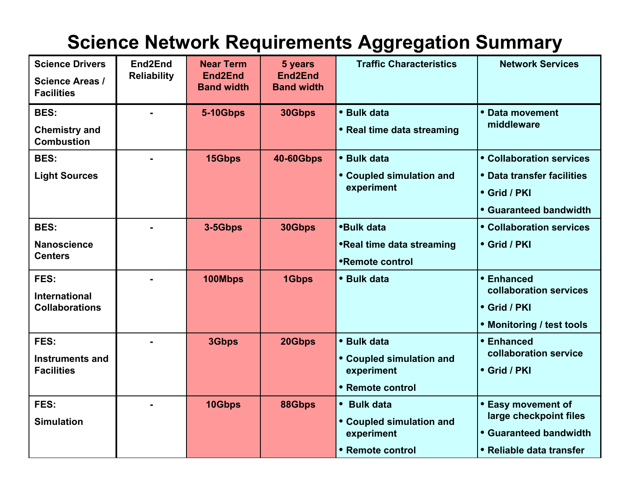#### **Science Network Requirements Aggregation Summary**

| <b>Science Drivers</b><br><b>Science Areas /</b><br><b>Facilities</b> | End2End<br><b>Reliability</b> | <b>Near Term</b><br>End <sub>2</sub> End<br><b>Band width</b> | 5 years<br>End2End<br><b>Band width</b> | <b>Traffic Characteristics</b>                                                  | <b>Network Services</b>                                                                            |
|-----------------------------------------------------------------------|-------------------------------|---------------------------------------------------------------|-----------------------------------------|---------------------------------------------------------------------------------|----------------------------------------------------------------------------------------------------|
| <b>BES:</b><br><b>Chemistry and</b><br><b>Combustion</b>              |                               | <b>5-10Gbps</b>                                               | 30Gbps                                  | • Bulk data<br>• Real time data streaming                                       | • Data movement<br>middleware                                                                      |
| <b>BES:</b><br><b>Light Sources</b>                                   |                               | 15Gbps                                                        | <b>40-60Gbps</b>                        | • Bulk data<br>• Coupled simulation and<br>experiment                           | • Collaboration services<br>• Data transfer facilities<br>• Grid / PKI<br>• Guaranteed bandwidth   |
| <b>BES:</b><br><b>Nanoscience</b><br><b>Centers</b>                   |                               | 3-5Gbps                                                       | 30Gbps                                  | <b>*Bulk data</b><br><b>•Real time data streaming</b><br><b>•Remote control</b> | • Collaboration services<br>• Grid / PKI                                                           |
| FES:<br><b>International</b><br><b>Collaborations</b>                 |                               | 100Mbps                                                       | 1Gbps                                   | • Bulk data                                                                     | • Enhanced<br>collaboration services<br>• Grid / PKI<br>• Monitoring / test tools                  |
| FES:<br><b>Instruments and</b><br><b>Facilities</b>                   |                               | 3Gbps                                                         | 20Gbps                                  | • Bulk data<br>• Coupled simulation and<br>experiment<br>• Remote control       | • Enhanced<br>collaboration service<br>• Grid / PKI                                                |
| FES:<br><b>Simulation</b>                                             |                               | 10Gbps                                                        | 88Gbps                                  | • Bulk data<br>• Coupled simulation and<br>experiment<br>• Remote control       | • Easy movement of<br>large checkpoint files<br>• Guaranteed bandwidth<br>• Reliable data transfer |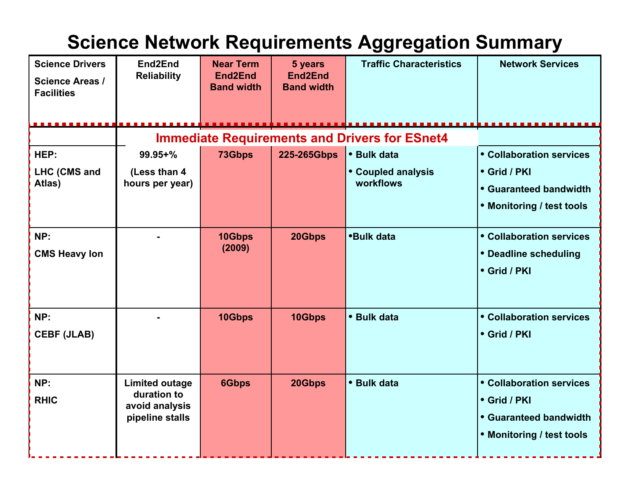#### **Science Network Requirements Aggregation Summary**

| <b>Science Drivers</b><br><b>Science Areas /</b><br><b>Facilities</b> | End2End<br><b>Reliability</b> | <b>Near Term</b><br>End2End<br><b>Band width</b> | 5 years<br>End <sub>2</sub> End<br><b>Band width</b> | <b>Traffic Characteristics</b> | <b>Network Services</b>   |  |  |
|-----------------------------------------------------------------------|-------------------------------|--------------------------------------------------|------------------------------------------------------|--------------------------------|---------------------------|--|--|
| <b>Immediate Requirements and Drivers for ESnet4</b>                  |                               |                                                  |                                                      |                                |                           |  |  |
| HEP:                                                                  | $99.95 + \%$                  | 73Gbps                                           | 225-265Gbps                                          | • Bulk data                    | • Collaboration services  |  |  |
| LHC (CMS and                                                          | (Less than 4                  |                                                  |                                                      | • Coupled analysis             | • Grid / PKI              |  |  |
| Atlas)                                                                | hours per year)               |                                                  |                                                      | workflows                      | • Guaranteed bandwidth    |  |  |
|                                                                       |                               |                                                  |                                                      |                                | • Monitoring / test tools |  |  |
| NP:                                                                   |                               | 10Gbps                                           | 20Gbps                                               | <b>*Bulk data</b>              | • Collaboration services  |  |  |
| <b>CMS Heavy lon</b>                                                  |                               | (2009)                                           |                                                      |                                | • Deadline scheduling     |  |  |
|                                                                       |                               |                                                  |                                                      |                                | • Grid / PKI              |  |  |
| NP:                                                                   |                               | 10Gbps                                           | 10Gbps                                               | • Bulk data                    | • Collaboration services  |  |  |
| <b>CEBF (JLAB)</b>                                                    |                               |                                                  |                                                      |                                | • Grid / PKI              |  |  |
| NP:                                                                   | <b>Limited outage</b>         | <b>6Gbps</b>                                     | 20Gbps                                               | • Bulk data                    | • Collaboration services  |  |  |
| <b>RHIC</b>                                                           | duration to<br>avoid analysis |                                                  |                                                      |                                | • Grid / PKI              |  |  |
|                                                                       | pipeline stalls               |                                                  |                                                      |                                | • Guaranteed bandwidth    |  |  |
|                                                                       |                               |                                                  |                                                      |                                | • Monitoring / test tools |  |  |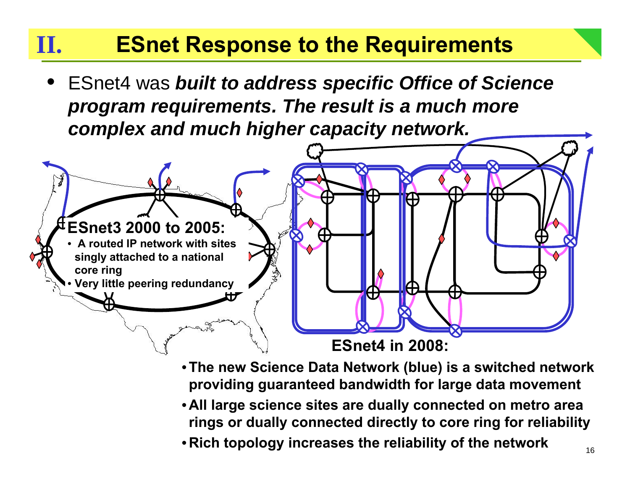#### **ESnet Response to the Requirements II.**

• ESnet4 was *built to address specific Office of Science program requirements. The result is a much more complex and much higher capacity network.*



- •**The new Science Data Network (blue) is a switched network providing guaranteed bandwidth for large data movement**
- **All large science sites are dually connected on metro area rings or dually connected directly to core ring for reliability**
- **Rich topology increases the reliability of the network**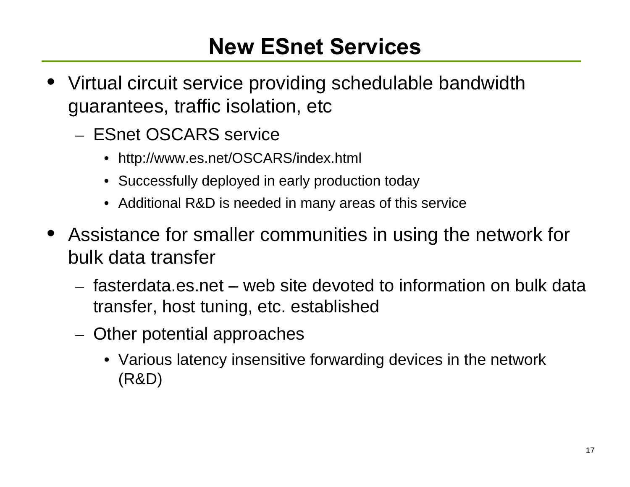### **New ESnet Services**

- • Virtual circuit service providing schedulable bandwidth guarantees, traffic isolation, etc
	- ESnet OSCARS service
		- http://www.es.net/OSCARS/index.html
		- Successfully deployed in early production today
		- Additional R&D is needed in many areas of this service
- Assistance for smaller communities in using the network for bulk data transfer
	- fasterdata.es.net web site devoted to information on bulk data transfer, host tuning, etc. established
	- – Other potential approaches
		- Various latency insensitive forwarding devices in the network (R&D)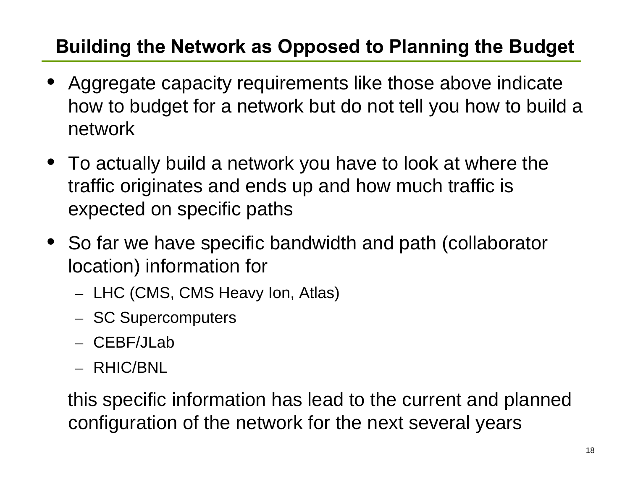### **Building the Network as Opposed to Planning the Budget**

- • Aggregate capacity requirements like those above indicate how to budget for a network but do not tell you how to build a network
- To actually build a network you have to look at where the traffic originates and ends up and how much traffic is expected on specific paths
- So far we have specific bandwidth and path (collaborator location) information for
	- – $-$  LHC (CMS, CMS Heavy Ion, Atlas)
	- SC Supercomputers
	- CEBF/JLab
	- RHIC/BNL

this specific information has lead to the current and planned configuration of the network for the next several years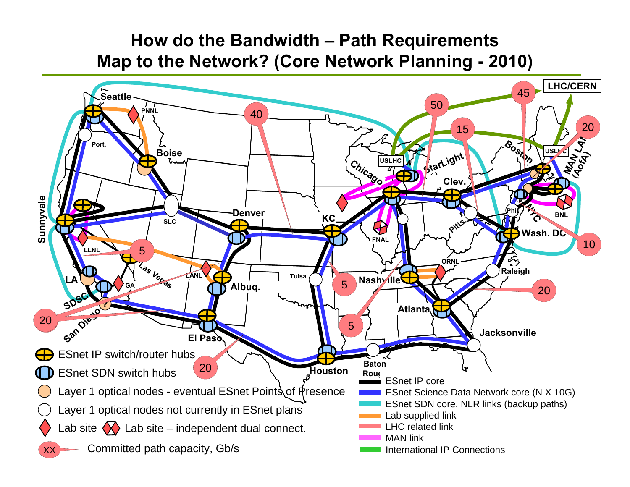#### **How do the Bandwidth – Path Requirements Map to the Network? (Core Network Planning - 2010)**

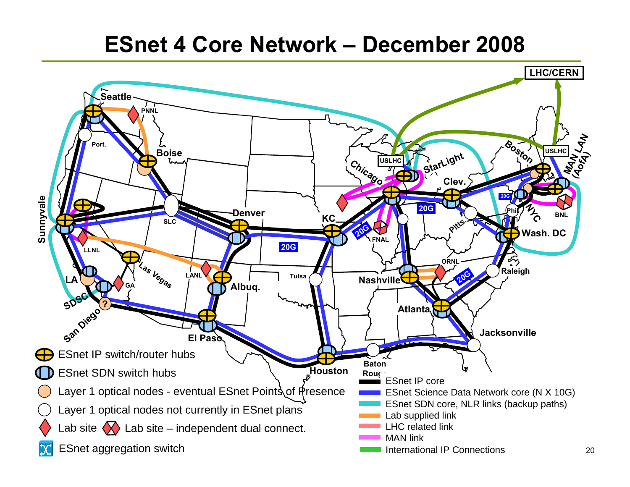### **ESnet 4 Core Network – December 2008**

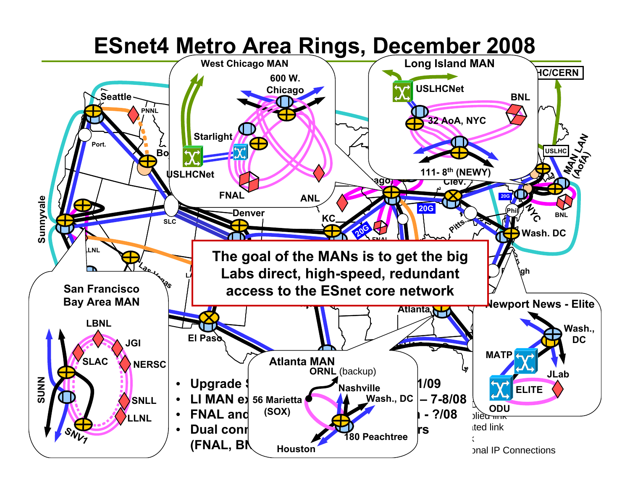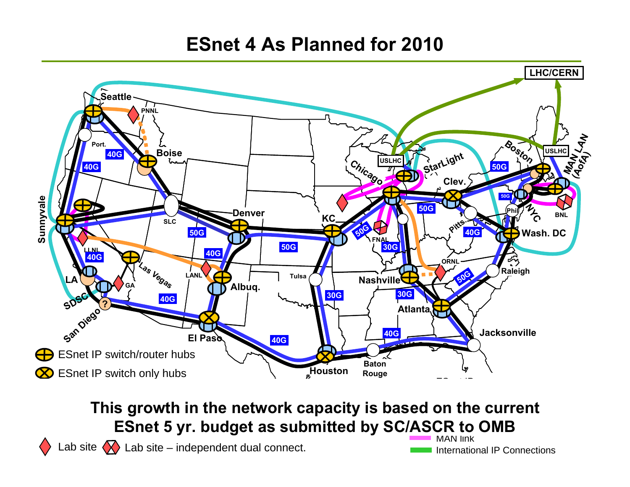#### **ESnet 4 As Planned for 2010**



In the current This growth in the network capacity is based on the current **ESnet 5 yr. budget as submitted by SC/ASCR to OMB** 

Lab site  $\langle \times \rangle$  Lab site – independent dual connect.

MAN linkInternational IP Connections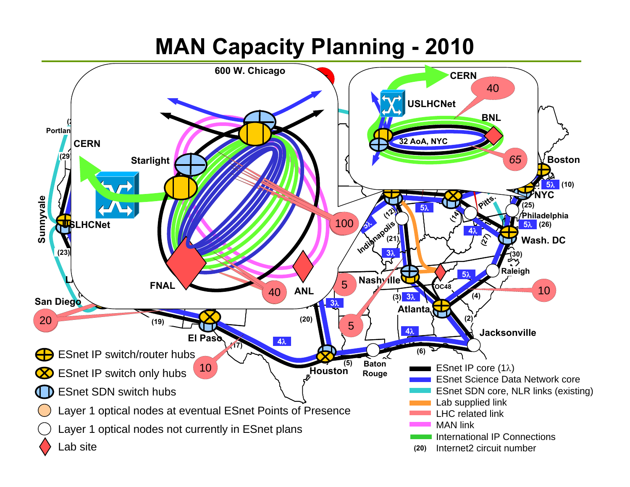### **MAN Capacity Planning - 2010**

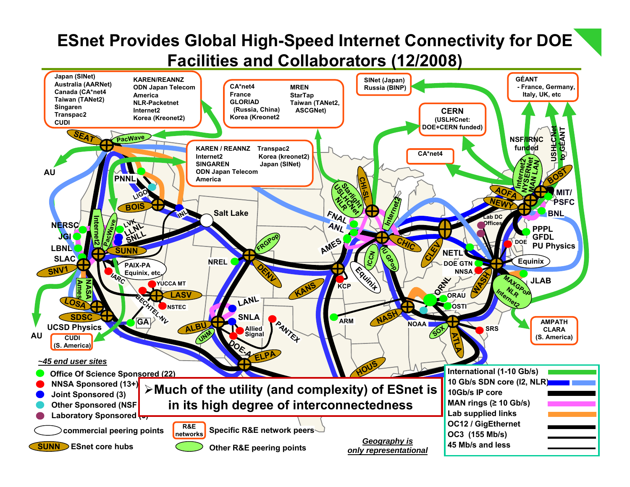#### **ESnet Provides Global High-Speed Internet Connectivity for DOE Facilities and Collaborators (12/2008)**

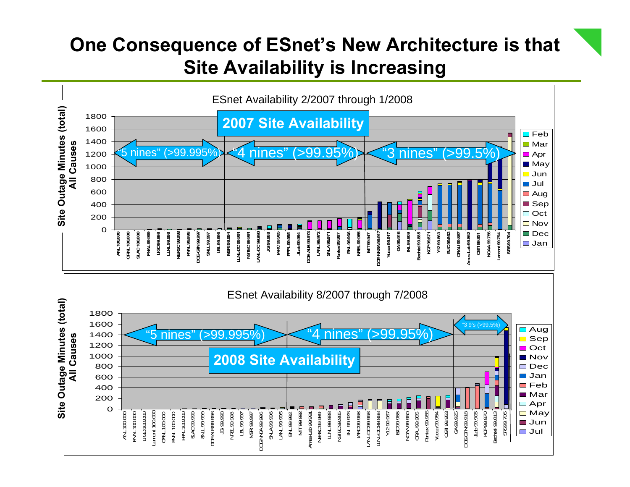#### **One Consequence of ESnet's New Architecture is that Site Availability is Increasing**

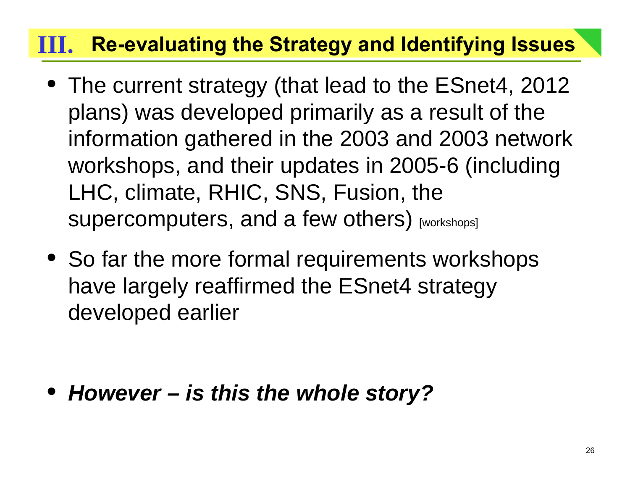### **Re-evaluating the Strategy and Identifying Issues III.**

- The current strategy (that lead to the ESnet4, 2012 plans) was developed primarily as a result of the information gathered in the 2003 and 2003 network workshops, and their updates in 2005-6 (including LHC, climate, RHIC, SNS, Fusion, the supercomputers, and a few others) [workshops]
- So far the more formal requirements workshops have largely reaffirmed the ESnet4 strategy developed earlier

• *However – is this the whole story?*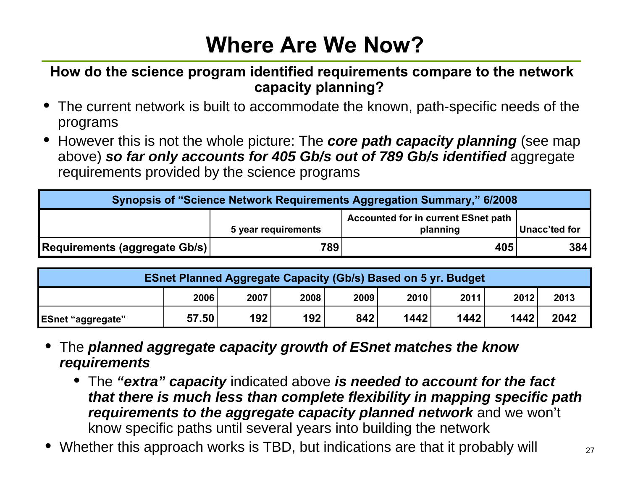# **Where Are We Now?**

#### **How do the science program identified requirements compare to the network capacity planning?**

- The current network is built to accommodate the known, path-specific needs of the programs
- However this is not the whole picture: The *core path capacity planning* (see map above) *so far only accounts for 405 Gb/s out of 789 Gb/s identified* aggregate requirements provided by the science programs

| <b>Synopsis of "Science Network Requirements Aggregation Summary," 6/2008</b> |     |                                                        |               |  |  |  |
|-------------------------------------------------------------------------------|-----|--------------------------------------------------------|---------------|--|--|--|
| 5 year requirements                                                           |     | <b>Accounted for in current ESnet path</b><br>planning | Unacc'ted for |  |  |  |
| Requirements (aggregate Gb/s)                                                 | 789 | 405                                                    | <b>384</b>    |  |  |  |

| <b>ESnet Planned Aggregate Capacity (Gb/s) Based on 5 yr. Budget</b> |       |      |      |      |      |      |      |      |
|----------------------------------------------------------------------|-------|------|------|------|------|------|------|------|
|                                                                      | 2006  | 2007 | 2008 | 2009 | 2010 | 2011 | 2012 | 2013 |
| <b>ESnet "aggregate"</b>                                             | 57.50 | 192  | 192  | 842  | 1442 | 1442 | 1442 | 2042 |

- • The *planned aggregate capacity growth of ESnet matches the know requirements*
	- The *"extra" capacity* indicated above *is needed to account for the fact that there is much less than complete flexibility in mapping specific path requirements to the aggregate capacity planned network* and we won't know specific paths until several years into building the network
- Whether this approach works is TBD, but indications are that it probably will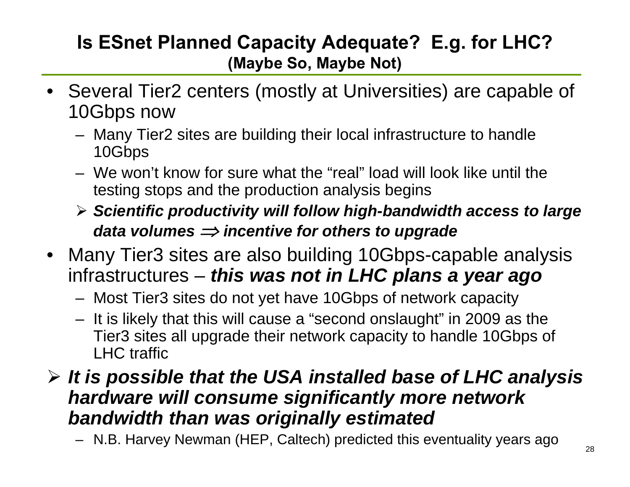#### **Is ESnet Planned Capacity Adequate? E.g. for LHC? (Maybe So, Maybe Not)**

- Several Tier2 centers (mostly at Universities) are capable of 10Gbps now
	- Many Tier2 sites are building their local infrastructure to handle 10Gbps
	- We won't know for sure what the "real" load will look like until the testing stops and the production analysis begins
	- ¾ *Scientific productivity will follow high-bandwidth access to large data volumes*  ⇒ *incentive for others to upgrade*
- Many Tier3 sites are also building 10Gbps-capable analysis infrastructures – *this was not in LHC plans a year ago*
	- Most Tier3 sites do not yet have 10Gbps of network capacity
	- It is likely that this will cause a "second onslaught" in 2009 as the Tier3 sites all upgrade their network capacity to handle 10Gbps of LHC traffic

#### ¾ *It is possible that the USA installed base of LHC analysis hardware will consume significantly more network bandwidth than was originally estimated*

– N.B. Harvey Newman (HEP, Caltech) predicted this eventuality years ago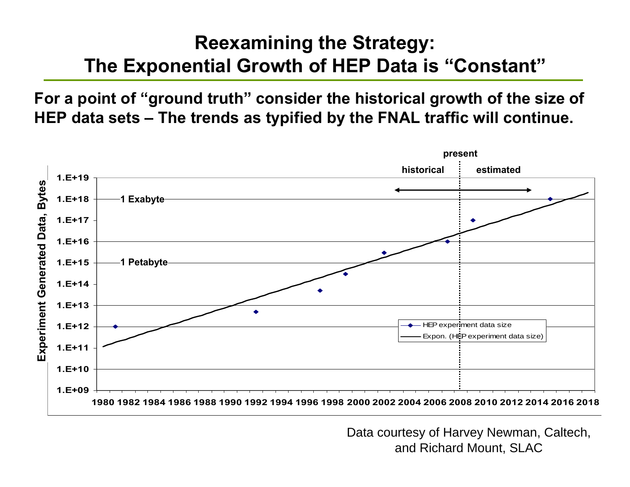#### **Reexamining the Strategy: The Exponential Growth of HEP Data is "Constant"**

**For a point of "ground truth" consider the historical growth of the size of HEP data sets – The trends as typified by the FNAL traffic will continue.**



Data courtesy of Harvey Newman, Caltech, and Richard Mount, SLAC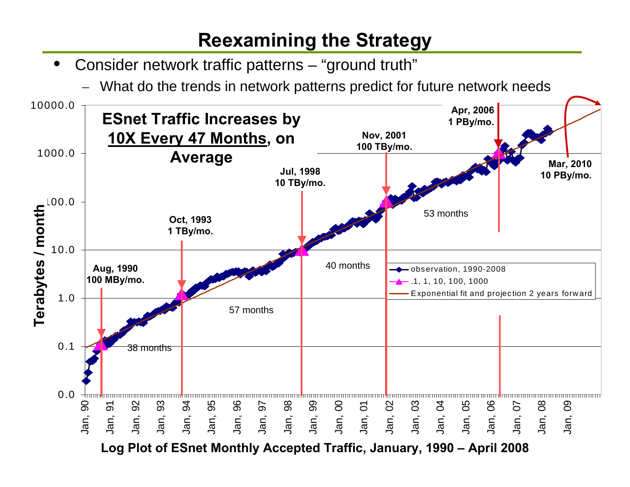#### **Reexamining the Strategy**

- $\bullet$  Consider network traffic patterns – "ground truth"
	- –What do the trends in network patterns predict for future network needs

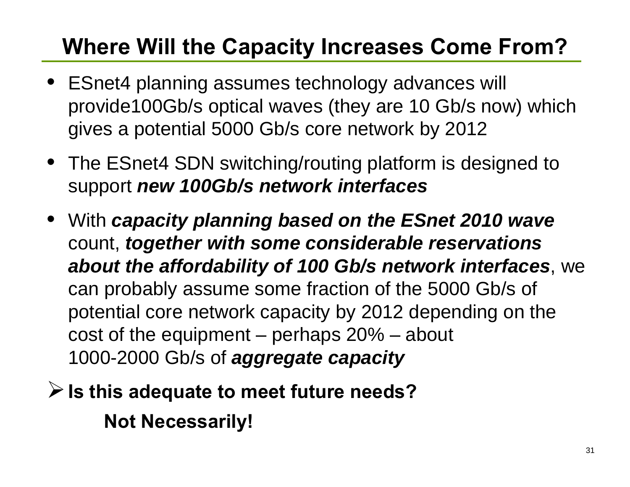# **Where Will the Capacity Increases Come From?**

- ESnet4 planning assumes technology advances will provide100Gb/s optical waves (they are 10 Gb/s now) which gives a potential 5000 Gb/s core network by 2012
- The ESnet4 SDN switching/routing platform is designed to support *new 100Gb/s network interfaces*
- With *capacity planning based on the ESnet 2010 wave* count, *together with some considerable reservations about the affordability of 100 Gb/s network interfaces*, we can probably assume some fraction of the 5000 Gb/s of potential core network capacity by 2012 depending on the cost of the equipment – perhaps 20% – about 1000-2000 Gb/s of *aggregate capacity*
- ¾**Is this adequate to meet future needs? Not Necessarily!**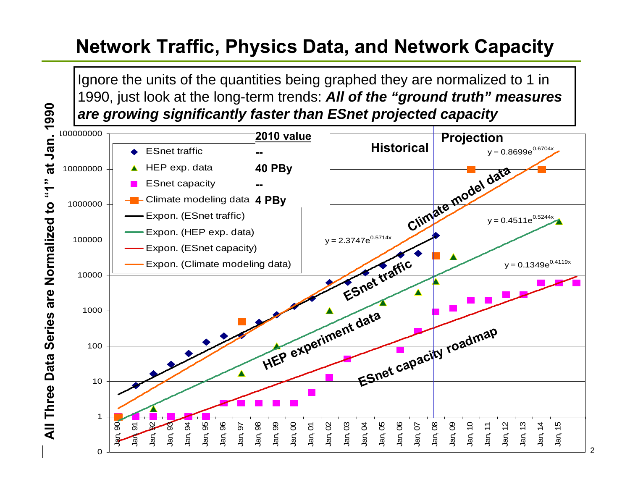### **Network Traffic, Physics Data, and Network Capacity**

Ignore the units of the quantities being graphed they are normalized to 1 in 1990, just look at the long-term trends: *All of the "ground truth" measures are growing significantly faster than ESnet projected capacity*

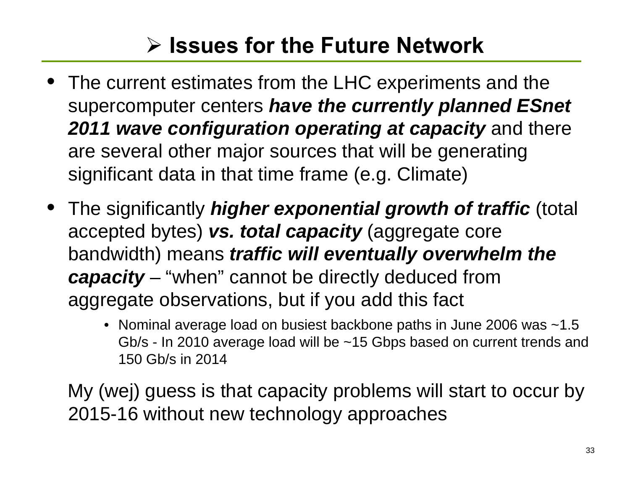# ¾ **Issues for the Future Network**

- The current estimates from the LHC experiments and the supercomputer centers *have the currently planned ESnet 2011 wave configuration operating at capacity* and there are several other major sources that will be generating significant data in that time frame (e.g. Climate)
- • The significantly *higher exponential growth of traffic* (total accepted bytes) *vs. total capacity* (aggregate core bandwidth) means *traffic will eventually overwhelm the capacity* – "when" cannot be directly deduced from aggregate observations, but if you add this fact
	- Nominal average load on busiest backbone paths in June 2006 was ~1.5 Gb/s - In 2010 average load will be ~15 Gbps based on current trends and 150 Gb/s in 2014

My (wej) guess is that capacity problems will start to occur by 2015-16 without new technology approaches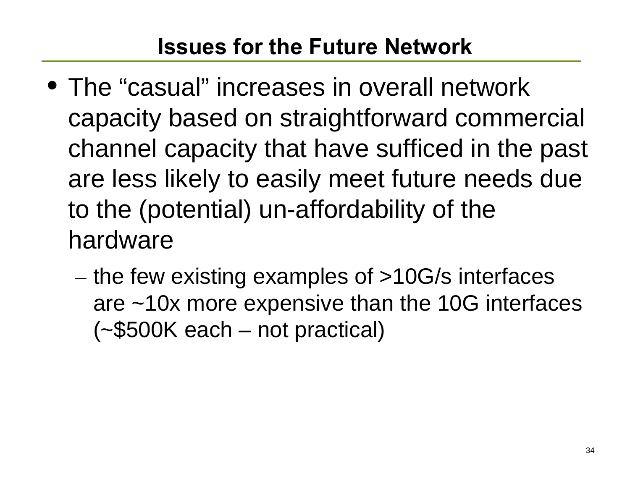## **Issues for the Future Network**

- The "casual" increases in overall network capacity based on straightforward commercial channel capacity that have sufficed in the past are less likely to easily meet future needs due to the (potential) un-affordability of the hardware
	- $-$  the few existing examples of >10G/s interfaces are ~10x more expensive than the 10G interfaces (~\$500K each – not practical)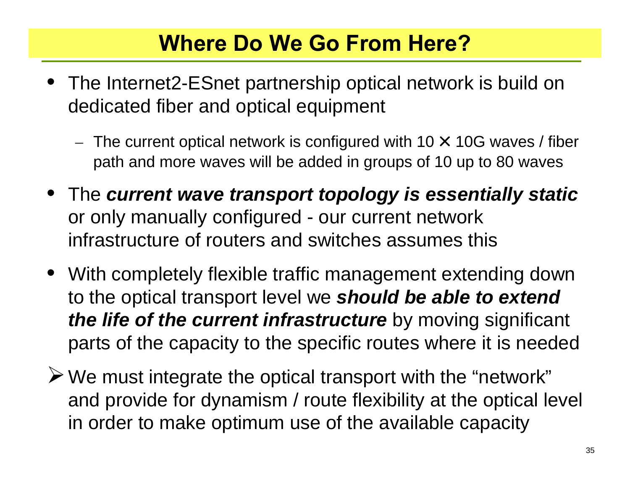## **Where Do We Go From Here?**

- The Internet2-ESnet partnership optical network is build on dedicated fiber and optical equipment
	- – $-$  The current optical network is configured with 10  $\times$  10G waves / fiber path and more waves will be added in groups of 10 up to 80 waves
- The *current wave transport topology is essentially static* or only manually configured - our current network infrastructure of routers and switches assumes this
- With completely flexible traffic management extending down to the optical transport level we *should be able to extend the life of the current infrastructure* by moving significant parts of the capacity to the specific routes where it is needed
- $\triangleright$  We must integrate the optical transport with the "network" and provide for dynamism / route flexibility at the optical level in order to make optimum use of the available capacity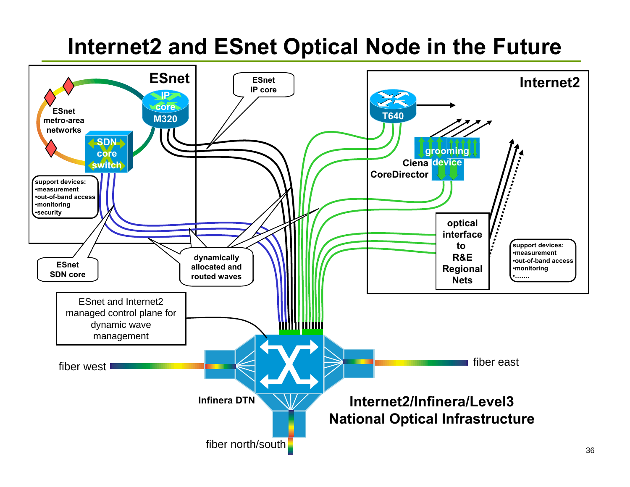## **Internet2 and ESnet Optical Node in the Future**

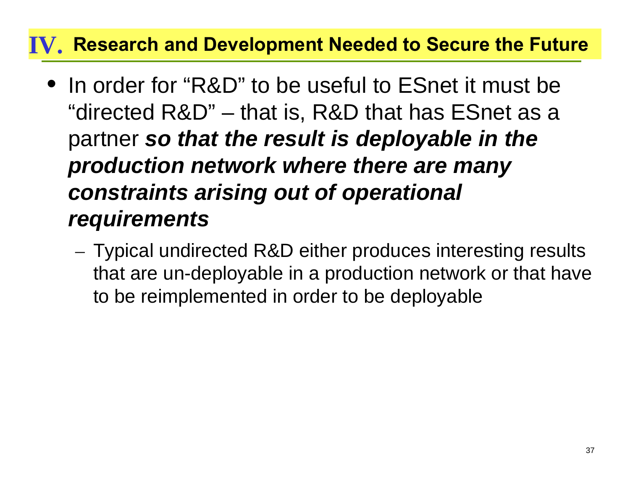#### **Research and Development Needed to Secure the Future IV.**

- In order for "R&D" to be useful to ESnet it must be "directed R&D" – that is, R&D that has ESnet as a partner *so that the result is deployable in the production network where there are many constraints arising out of operational requirements*
	- Typical undirected R&D either produces interesting results that are un-deployable in a production network or that have to be reimplemented in order to be deployable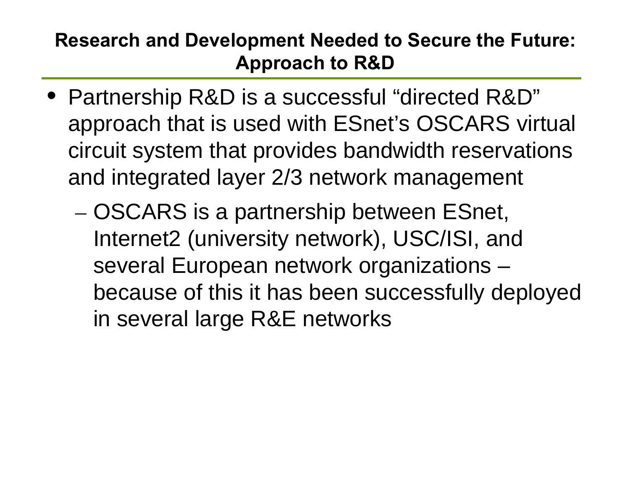#### **Research and Development Needed to Secure the Future: Approach to R&D**

- Partnership R&D is a successful "directed R&D" approach that is used with ESnet's OSCARS virtual circuit system that provides bandwidth reservations and integrated layer 2/3 network management
	- OSCARS is a partnership between ESnet, Internet2 (university network), USC/ISI, and several European network organizations – because of this it has been successfully deployed in several large R&E networks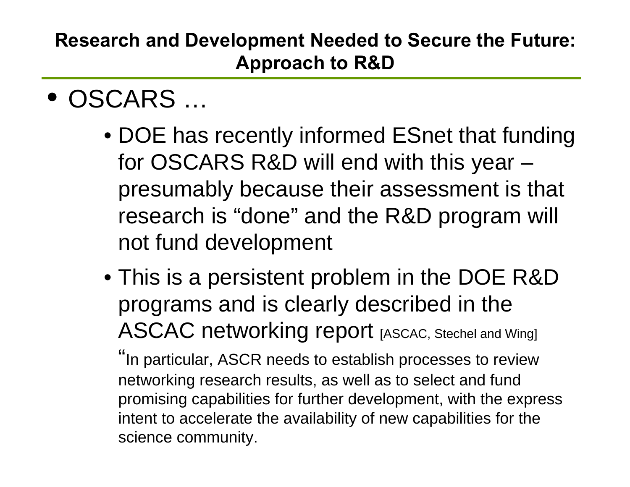#### **Research and Development Needed to Secure the Future: Approach to R&D**

- OSCARS …
	- DOE has recently informed ESnet that funding for OSCARS R&D will end with this year – presumably because their assessment is that research is "done" and the R&D program will not fund development
	- This is a persistent problem in the DOE R&D programs and is clearly described in the ASCAC networking report [ASCAC, Stechel and Wing]

"In particular, ASCR needs to establish processes to review networking research results, as well as to select and fund promising capabilities for further development, with the express intent to accelerate the availability of new capabilities for the science community.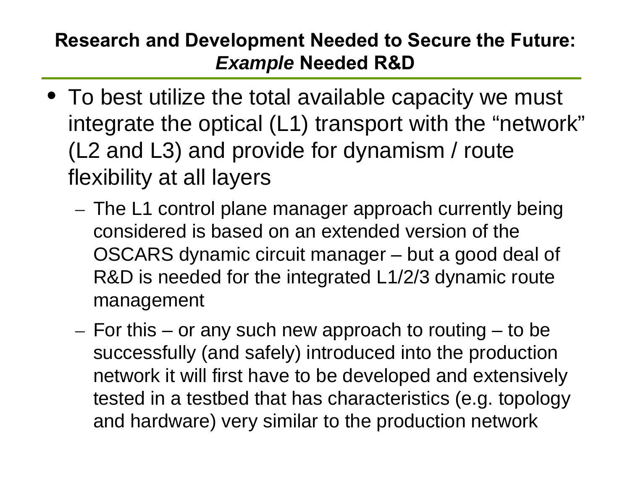#### **Research and Development Needed to Secure the Future:** *Example* **Needed R&D**

- To best utilize the total available capacity we must integrate the optical (L1) transport with the "network" (L2 and L3) and provide for dynamism / route flexibility at all layers
	- The L1 control plane manager approach currently being considered is based on an extended version of the OSCARS dynamic circuit manager – but a good deal of R&D is needed for the integrated L1/2/3 dynamic route management
	- $-$  For this or any such new approach to routing to be  $\overline{\phantom{a}}$ successfully (and safely) introduced into the production network it will first have to be developed and extensively tested in a testbed that has characteristics (e.g. topology and hardware) very similar to the production network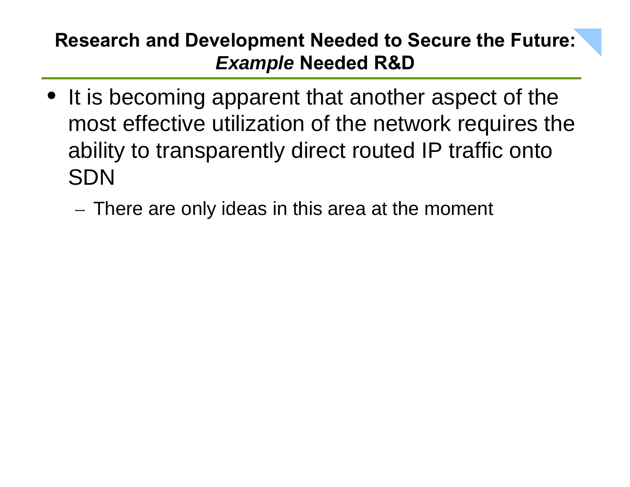#### **Research and Development Needed to Secure the Future:** *Example* **Needed R&D**

- It is becoming apparent that another aspect of the most effective utilization of the network requires the ability to transparently direct routed IP traffic onto SDN
	- $-$  There are only ideas in this area at the moment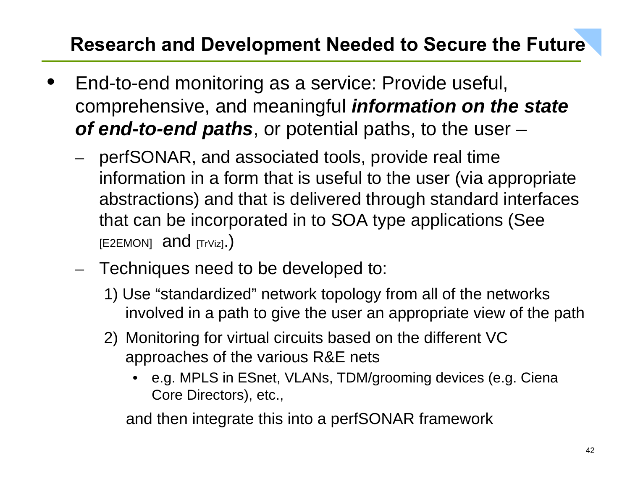### **Research and Development Needed to Secure the Future**

- • End-to-end monitoring as a service: Provide useful, comprehensive, and meaningful *information on the state of end-to-end paths*, or potential paths, to the user –
	- perfSONAR, and associated tools, provide real time information in a form that is useful to the user (via appropriate abstractions) and that is delivered through standard interfaces that can be incorporated in to SOA type applications (See [E2EMON] and [TrViz].)
	- – $-$  Techniques need to be developed to:
		- 1) Use "standardized" network topology from all of the networks involved in a path to give the user an appropriate view of the path
		- 2) Monitoring for virtual circuits based on the different VC approaches of the various R&E nets
			- $\bullet$  e.g. MPLS in ESnet, VLANs, TDM/grooming devices (e.g. Ciena Core Directors), etc.,

and then integrate this into a perfSONAR framework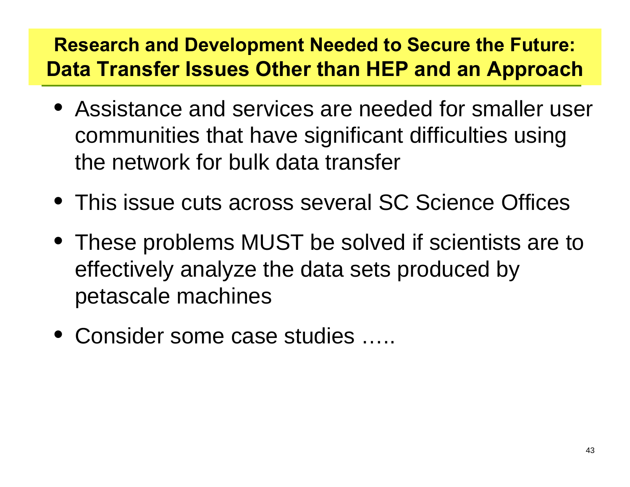### **Research and Development Needed to Secure the Future: Data Transfer Issues Other than HEP and an Approach**

- Assistance and services are needed for smaller user communities that have significant difficulties using the network for bulk data transfer
- This issue cuts across several SC Science Offices
- These problems MUST be solved if scientists are to effectively analyze the data sets produced by petascale machines
- Consider some case studies …..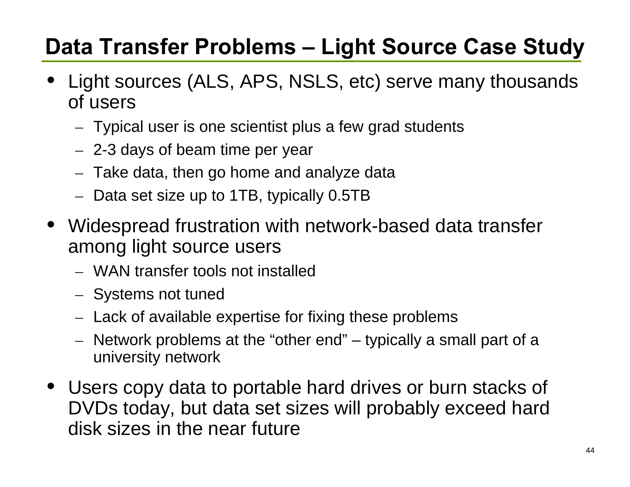# **Data Transfer Problems – Light Source Case Study**

- • Light sources (ALS, APS, NSLS, etc) serve many thousands of users
	- –Typical user is one scientist plus a few grad students
	- –2-3 days of beam time per year
	- –Take data, then go home and analyze data
	- – $-$  Data set size up to 1TB, typically 0.5TB
- Widespread frustration with network-based data transfer among light source users
	- WAN transfer tools not installed
	- –– Systems not tuned
	- – $-$  Lack of available expertise for fixing these problems
	- – Network problems at the "other end" – typically a small part of a university network
- Users copy data to portable hard drives or burn stacks of DVDs today, but data set sizes will probably exceed hard disk sizes in the near future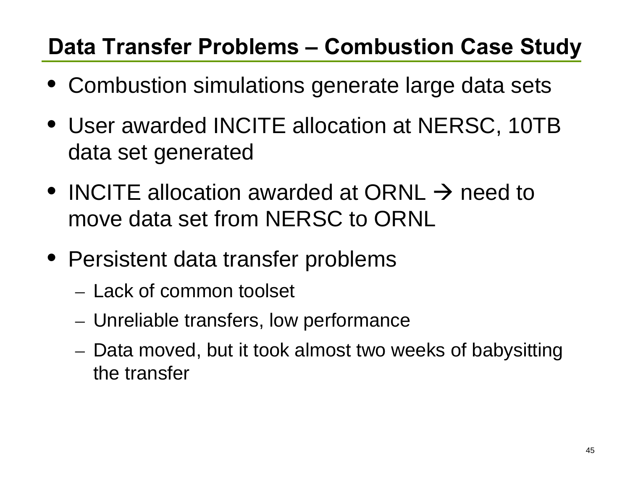### **Data Transfer Problems – Combustion Case Study**

- Combustion simulations generate large data sets
- User awarded INCITE allocation at NERSC, 10TB data set generated
- INCITE allocation awarded at ORNL  $\rightarrow$  need to move data set from NERSC to ORNL
- Persistent data transfer problems
	- Lack of common toolset
	- Unreliable transfers, low performance
	- Data moved, but it took almost two weeks of babysitting the transfer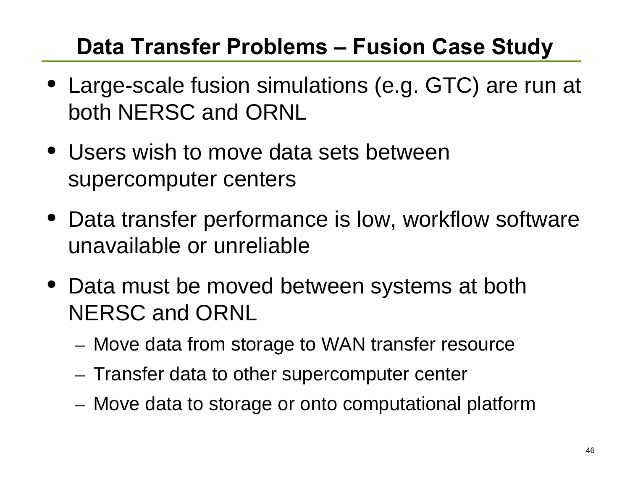## **Data Transfer Problems – Fusion Case Study**

- Large-scale fusion simulations (e.g. GTC) are run at both NERSC and ORNL
- Users wish to move data sets between supercomputer centers
- Data transfer performance is low, workflow software unavailable or unreliable
- Data must be moved between systems at both NERSC and ORNL
	- Move data from storage to WAN transfer resource
	- $-$  Transfer data to other supercomputer center
	- Move data to storage or onto computational platform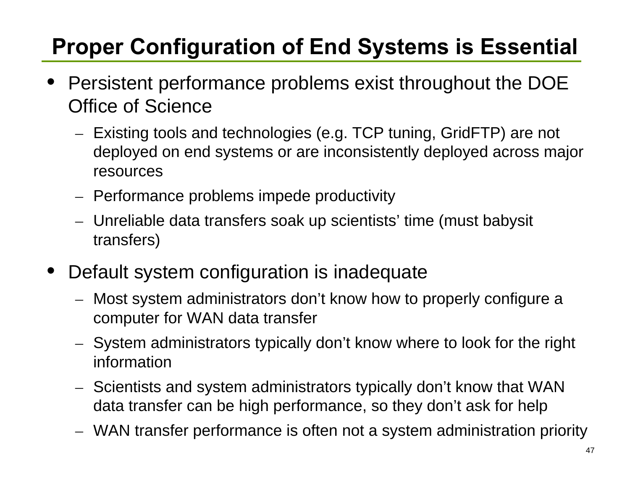# **Proper Configuration of End Systems is Essential**

- • Persistent performance problems exist throughout the DOE Office of Science
	- – Existing tools and technologies (e.g. TCP tuning, GridFTP) are not deployed on end systems or are inconsistently deployed across major resources
	- – $-$  Performance problems impede productivity
	- – Unreliable data transfers soak up scientists' time (must babysit transfers)
- • Default system configuration is inadequate
	- – Most system administrators don't know how to properly configure a computer for WAN data transfer
	- – System administrators typically don't know where to look for the right information
	- – Scientists and system administrators typically don't know that WAN data transfer can be high performance, so they don't ask for help
	- –WAN transfer performance is often not a system administration priority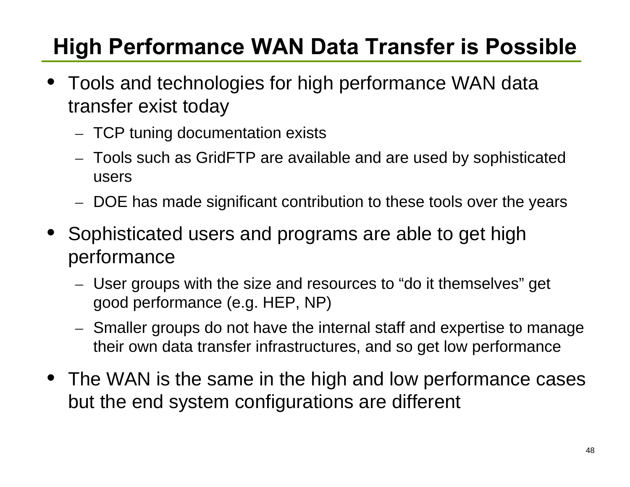# **High Performance WAN Data Transfer is Possible**

- • Tools and technologies for high performance WAN data transfer exist today
	- –TCP tuning documentation exists
	- – Tools such as GridFTP are available and are used by sophisticated users
	- –DOE has made significant contribution to these tools over the years
- • Sophisticated users and programs are able to get high performance
	- – User groups with the size and resources to "do it themselves" get good performance (e.g. HEP, NP)
	- – Smaller groups do not have the internal staff and expertise to manage their own data transfer infrastructures, and so get low performance
- The WAN is the same in the high and low performance cases but the end system configurations are different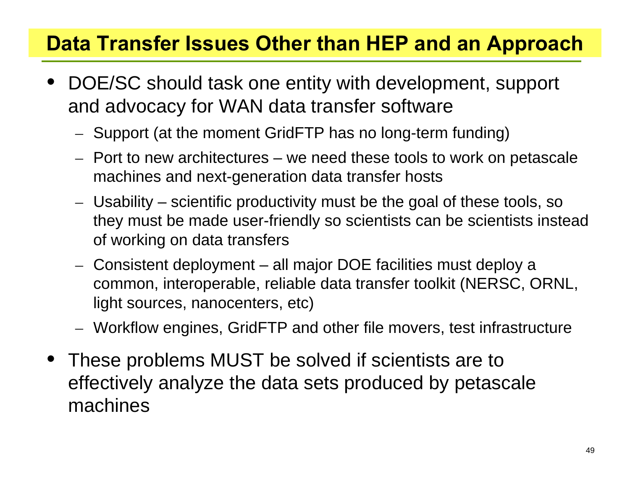### **Data Transfer Issues Other than HEP and an Approach**

- • DOE/SC should task one entity with development, support and advocacy for WAN data transfer software
	- –Support (at the moment GridFTP has no long-term funding)
	- Port to new architectures we need these tools to work on petascale machines and next-generation data transfer hosts
	- – Usability – scientific productivity must be the goal of these tools, so they must be made user-friendly so scientists can be scientists instead of working on data transfers
	- – Consistent deployment – all major DOE facilities must deploy a common, interoperable, reliable data transfer toolkit (NERSC, ORNL, light sources, nanocenters, etc)
	- –Workflow engines, GridFTP and other file movers, test infrastructure
- These problems MUST be solved if scientists are to effectively analyze the data sets produced by petascale machines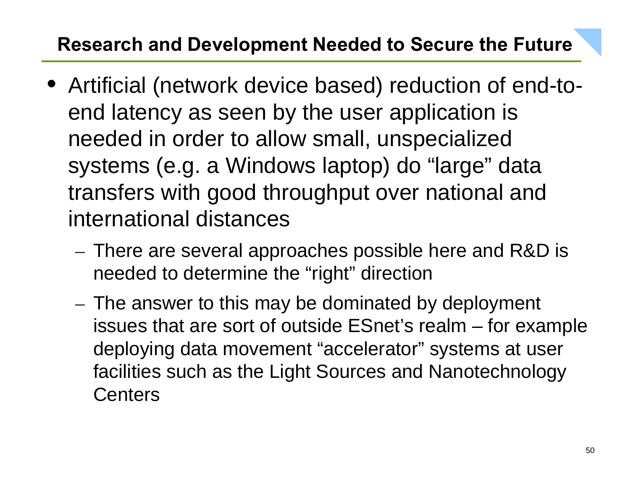#### **Research and Development Needed to Secure the Future**

- Artificial (network device based) reduction of end-toend latency as seen by the user application is needed in order to allow small, unspecialized systems (e.g. a Windows laptop) do "large" data transfers with good throughput over national and international distances
	- There are several approaches possible here and R&D is needed to determine the "right" direction
	- $-$  The answer to this may be dominated by deployment issues that are sort of outside ESnet's realm – for example deploying data movement "accelerator" systems at user facilities such as the Light Sources and Nanotechnology **Centers**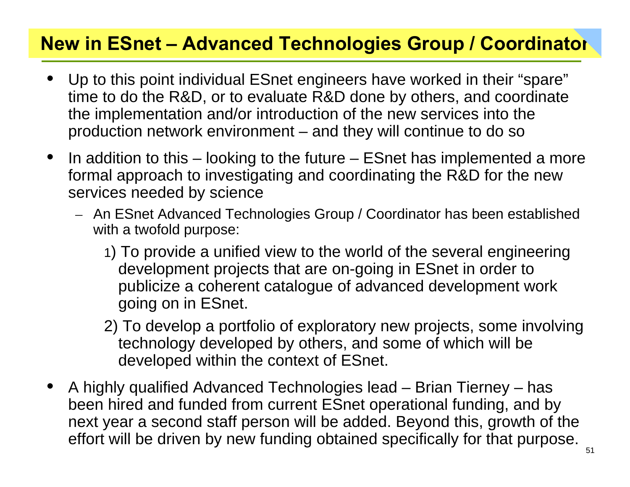#### **New in ESnet – Advanced Technologies Group / Coordinator**

- • Up to this point individual ESnet engineers have worked in their "spare" time to do the R&D, or to evaluate R&D done by others, and coordinate the implementation and/or introduction of the new services into the production network environment – and they will continue to do so
- $\bullet$  In addition to this – looking to the future – ESnet has implemented a more formal approach to investigating and coordinating the R&D for the new services needed by science
	- An ESnet Advanced Technologies Group / Coordinator has been established with a twofold purpose:
		- 1) To provide a unified view to the world of the several engineering development projects that are on-going in ESnet in order to publicize a coherent catalogue of advanced development work going on in ESnet.
		- 2) To develop a portfolio of exploratory new projects, some involving technology developed by others, and some of which will be developed within the context of ESnet.
- • A highly qualified Advanced Technologies lead – Brian Tierney – has been hired and funded from current ESnet operational funding, and by next year a second staff person will be added. Beyond this, growth of the effort will be driven by new funding obtained specifically for that purpose.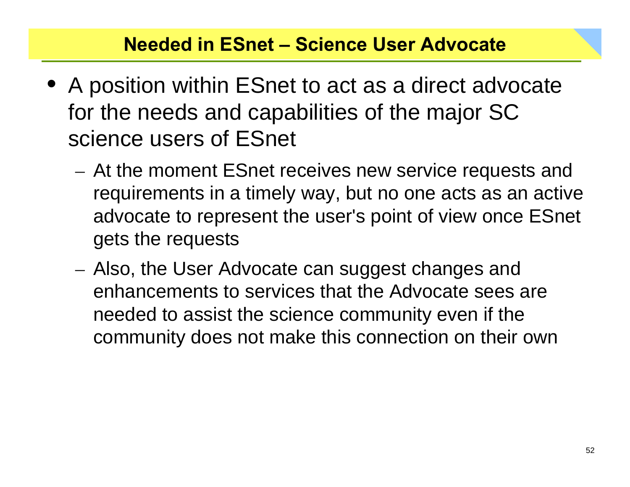#### **Needed in ESnet – Science User Advocate**

- A position within ESnet to act as a direct advocate for the needs and capabilities of the major SC science users of ESnet
	- At the moment ESnet receives new service requests and requirements in a timely way, but no one acts as an active advocate to represent the user's point of view once ESnet gets the requests
	- Also, the User Advocate can suggest changes and enhancements to services that the Advocate sees are needed to assist the science community even if the community does not make this connection on their own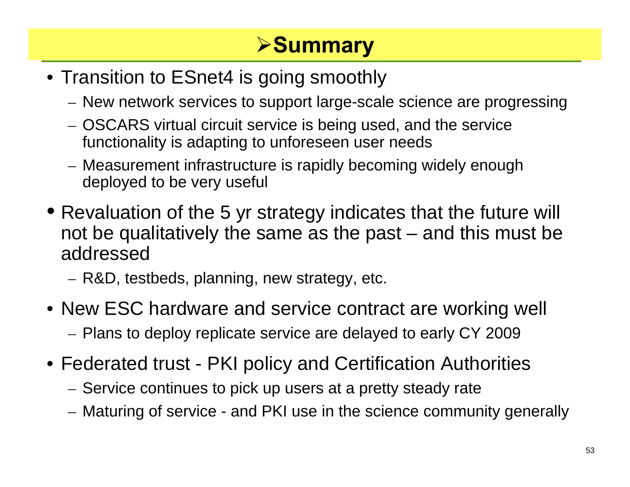# ¾**Summary**

- Transition to ESnet4 is going smoothly
	- New network services to support large-scale science are progressing
	- OSCARS virtual circuit service is being used, and the service functionality is adapting to unforeseen user needs
	- Measurement infrastructure is rapidly becoming widely enough deployed to be very useful
- Revaluation of the 5 yr strategy indicates that the future will not be qualitatively the same as the past – and this must be addressed
	- R&D, testbeds, planning, new strategy, etc.
- New ESC hardware and service contract are working well Plans to deploy replicate service are delayed to early CY 2009
- Federated trust PKI policy and Certification Authorities
	- $-$  Service continues to pick up users at a pretty steady rate
	- Maturing of service and PKI use in the science community generally